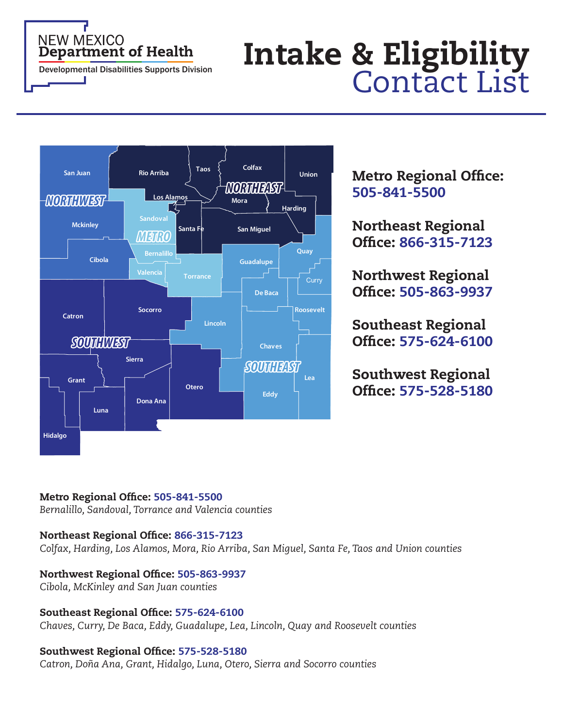# Department of Health **Intake & Eligibility**<br>Developmental Disabilities Supports Division **Intake Contact List**



# Metro Regional Office: 505-841-5500

Northeast Regional Office: 866-315-7123

Northwest Regional Office: 505-863-9937

Southeast Regional Office: 575-624-6100

Southwest Regional Office: 575-528-5180

# Metro Regional Office: 505-841-5500

*Bernalillo, Sandoval, Torrance and Valencia counties*

# Northeast Regional Office: 866-315-7123

*Colfax, Harding, Los Alamos, Mora, Rio Arriba, San Miguel, Santa Fe, Taos and Union counties*

# Northwest Regional Office: 505-863-9937

*Cibola, McKinley and San Juan counties*

# Southeast Regional Office: 575-624-6100

*Chaves, Curry, De Baca, Eddy, Guadalupe, Lea, Lincoln, Quay and Roosevelt counties*

# Southwest Regional Office: 575-528-5180

*Catron, Doña Ana, Grant, Hidalgo, Luna, Otero, Sierra and Socorro counties*